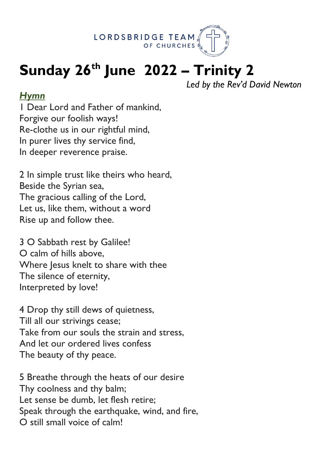

# **Sunday 26th June 2022 – Trinity 2**

*Led by the Rev'd David Newton*

### *Hymn*

1 Dear Lord and Father of mankind, Forgive our foolish ways! Re-clothe us in our rightful mind, In purer lives thy service find, In deeper reverence praise.

2 In simple trust like theirs who heard, Beside the Syrian sea, The gracious calling of the Lord, Let us, like them, without a word Rise up and follow thee.

3 O Sabbath rest by Galilee! O calm of hills above, Where Jesus knelt to share with thee The silence of eternity, Interpreted by love!

4 Drop thy still dews of quietness, Till all our strivings cease; Take from our souls the strain and stress, And let our ordered lives confess The beauty of thy peace.

5 Breathe through the heats of our desire Thy coolness and thy balm; Let sense be dumb, let flesh retire; Speak through the earthquake, wind, and fire, O still small voice of calm!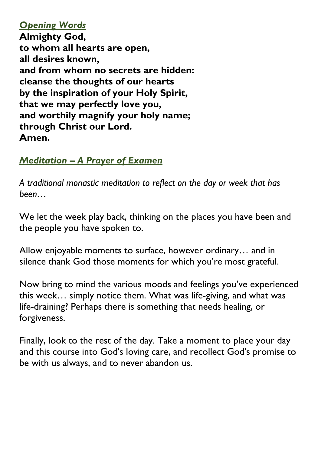#### *Opening Words*

**Almighty God, to whom all hearts are open, all desires known, and from whom no secrets are hidden: cleanse the thoughts of our hearts by the inspiration of your Holy Spirit, that we may perfectly love you, and worthily magnify your holy name; through Christ our Lord. Amen.**

## *Meditation – A Prayer of Examen*

*A traditional monastic meditation to reflect on the day or week that has been…*

We let the week play back, thinking on the places you have been and the people you have spoken to.

Allow enjoyable moments to surface, however ordinary… and in silence thank God those moments for which you're most grateful.

Now bring to mind the various moods and feelings you've experienced this week… simply notice them. What was life-giving, and what was life-draining? Perhaps there is something that needs healing, or forgiveness.

Finally, look to the rest of the day. Take a moment to place your day and this course into God's loving care, and recollect God's promise to be with us always, and to never abandon us.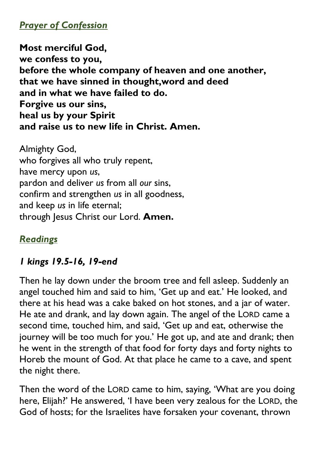## *Prayer of Confession*

**Most merciful God, we confess to you, before the whole company of heaven and one another, that we have sinned in thought,word and deed and in what we have failed to do. Forgive us our sins, heal us by your Spirit and raise us to new life in Christ. Amen.**

Almighty God, who forgives all who truly repent, have mercy upon *us*, pardon and deliver *us* from all *our* sins, confirm and strengthen *us* in all goodness, and keep *us* in life eternal; through Jesus Christ our Lord. **Amen.** 

## *Readings*

# *1 kings 19.5-16, 19-end*

Then he lay down under the broom tree and fell asleep. Suddenly an angel touched him and said to him, 'Get up and eat.' He looked, and there at his head was a cake baked on hot stones, and a jar of water. He ate and drank, and lay down again. The angel of the LORD came a second time, touched him, and said, 'Get up and eat, otherwise the journey will be too much for you.' He got up, and ate and drank; then he went in the strength of that food for forty days and forty nights to Horeb the mount of God. At that place he came to a cave, and spent the night there.

Then the word of the LORD came to him, saying, 'What are you doing here, Elijah?' He answered, 'I have been very zealous for the LORD, the God of hosts; for the Israelites have forsaken your covenant, thrown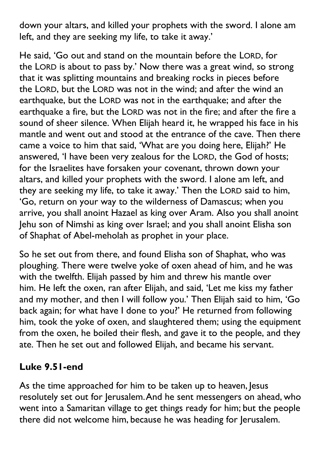down your altars, and killed your prophets with the sword. I alone am left, and they are seeking my life, to take it away.'

He said, 'Go out and stand on the mountain before the LORD, for the LORD is about to pass by.' Now there was a great wind, so strong that it was splitting mountains and breaking rocks in pieces before the LORD, but the LORD was not in the wind; and after the wind an earthquake, but the LORD was not in the earthquake; and after the earthquake a fire, but the LORD was not in the fire; and after the fire a sound of sheer silence. When Elijah heard it, he wrapped his face in his mantle and went out and stood at the entrance of the cave. Then there came a voice to him that said, 'What are you doing here, Elijah?' He answered, 'I have been very zealous for the LORD, the God of hosts; for the Israelites have forsaken your covenant, thrown down your altars, and killed your prophets with the sword. I alone am left, and they are seeking my life, to take it away.' Then the LORD said to him, 'Go, return on your way to the wilderness of Damascus; when you arrive, you shall anoint Hazael as king over Aram. Also you shall anoint Jehu son of Nimshi as king over Israel; and you shall anoint Elisha son of Shaphat of Abel-meholah as prophet in your place.

So he set out from there, and found Elisha son of Shaphat, who was ploughing. There were twelve yoke of oxen ahead of him, and he was with the twelfth. Elijah passed by him and threw his mantle over him. He left the oxen, ran after Elijah, and said, 'Let me kiss my father and my mother, and then I will follow you.' Then Elijah said to him, 'Go back again; for what have I done to you?' He returned from following him, took the yoke of oxen, and slaughtered them; using the equipment from the oxen, he boiled their flesh, and gave it to the people, and they ate. Then he set out and followed Elijah, and became his servant.

## **Luke 9.51-end**

As the time approached for him to be taken up to heaven, Jesus resolutely set out for Jerusalem. And he sent messengers on ahead, who went into a Samaritan village to get things ready for him; but the people there did not welcome him, because he was heading for Jerusalem.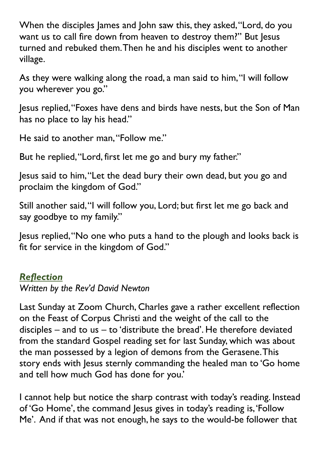When the disciples James and John saw this, they asked, "Lord, do you want us to call fire down from heaven to destroy them?" But Jesus turned and rebuked them.Then he and his disciples went to another village.

As they were walking along the road, a man said to him, "I will follow you wherever you go."

Jesus replied, "Foxes have dens and birds have nests, but the Son of Man has no place to lay his head."

He said to another man, "Follow me."

But he replied, "Lord, first let me go and bury my father."

Jesus said to him, "Let the dead bury their own dead, but you go and proclaim the kingdom of God."

Still another said, "I will follow you, Lord; but first let me go back and say goodbye to my family."

Jesus replied, "No one who puts a hand to the plough and looks back is fit for service in the kingdom of God."

## *Reflection*

*Written by the Rev'd David Newton*

Last Sunday at Zoom Church, Charles gave a rather excellent reflection on the Feast of Corpus Christi and the weight of the call to the disciples – and to us – to 'distribute the bread'. He therefore deviated from the standard Gospel reading set for last Sunday, which was about the man possessed by a legion of demons from the Gerasene. This story ends with Jesus sternly commanding the healed man to 'Go home and tell how much God has done for you.'

I cannot help but notice the sharp contrast with today's reading. Instead of 'Go Home', the command Jesus gives in today's reading is, 'Follow Me'. And if that was not enough, he says to the would-be follower that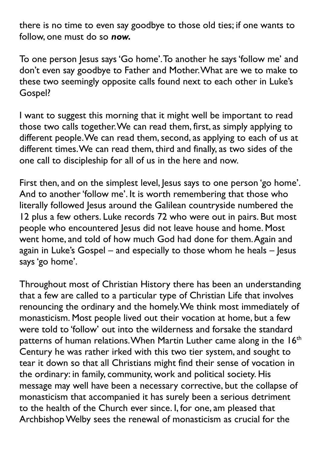there is no time to even say goodbye to those old ties; if one wants to follow, one must do so *now.* 

To one person Jesus says 'Go home'. To another he says 'follow me' and don't even say goodbye to Father and Mother.What are we to make to these two seemingly opposite calls found next to each other in Luke's Gospel?

I want to suggest this morning that it might well be important to read those two calls together.We can read them, first, as simply applying to different people. We can read them, second, as applying to each of us at different times. We can read them, third and finally, as two sides of the one call to discipleship for all of us in the here and now.

First then, and on the simplest level, Jesus says to one person 'go home'. And to another 'follow me'. It is worth remembering that those who literally followed Jesus around the Galilean countryside numbered the 12 plus a few others. Luke records 72 who were out in pairs. But most people who encountered Jesus did not leave house and home. Most went home, and told of how much God had done for them.Again and again in Luke's Gospel – and especially to those whom he heals – Jesus says 'go home'.

Throughout most of Christian History there has been an understanding that a few are called to a particular type of Christian Life that involves renouncing the ordinary and the homely. We think most immediately of monasticism. Most people lived out their vocation at home, but a few were told to 'follow' out into the wilderness and forsake the standard patterns of human relations. When Martin Luther came along in the 16<sup>th</sup> Century he was rather irked with this two tier system, and sought to tear it down so that all Christians might find their sense of vocation in the ordinary: in family, community, work and political society. His message may well have been a necessary corrective, but the collapse of monasticism that accompanied it has surely been a serious detriment to the health of the Church ever since. I, for one, am pleased that Archbishop Welby sees the renewal of monasticism as crucial for the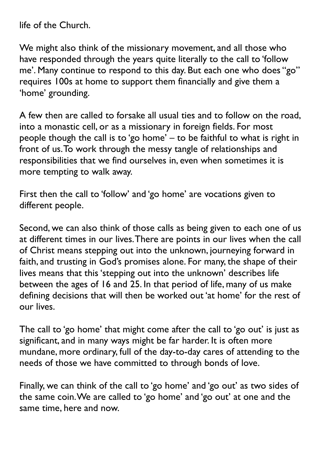life of the Church.

We might also think of the missionary movement, and all those who have responded through the years quite literally to the call to 'follow me'. Many continue to respond to this day. But each one who does "go" requires 100s at home to support them financially and give them a 'home' grounding.

A few then are called to forsake all usual ties and to follow on the road, into a monastic cell, or as a missionary in foreign fields. For most people though the call is to 'go home' – to be faithful to what is right in front of us. To work through the messy tangle of relationships and responsibilities that we find ourselves in, even when sometimes it is more tempting to walk away.

First then the call to 'follow' and 'go home' are vocations given to different people.

Second, we can also think of those calls as being given to each one of us at different times in our lives.There are points in our lives when the call of Christ means stepping out into the unknown, journeying forward in faith, and trusting in God's promises alone. For many, the shape of their lives means that this'stepping out into the unknown' describes life between the ages of 16 and 25. In that period of life, many of us make defining decisions that will then be worked out 'at home' for the rest of our lives.

The call to 'go home' that might come after the call to 'go out' is just as significant, and in many ways might be far harder. It is often more mundane, more ordinary, full of the day-to-day cares of attending to the needs of those we have committed to through bonds of love.

Finally, we can think of the call to 'go home' and 'go out' as two sides of the same coin. We are called to 'go home' and 'go out' at one and the same time, here and now.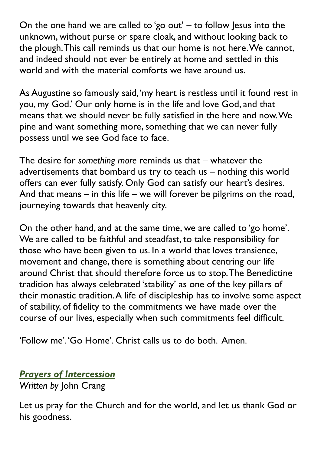On the one hand we are called to 'go out'  $-$  to follow Jesus into the unknown, without purse or spare cloak, and without looking back to the plough. This call reminds us that our home is not here. We cannot, and indeed should not ever be entirely at home and settled in this world and with the material comforts we have around us.

As Augustine so famously said, 'my heart is restless until it found rest in you, my God.' Our only home is in the life and love God, and that means that we should never be fully satisfied in the here and now. We pine and want something more, something that we can never fully possess until we see God face to face.

The desire for *something more* reminds us that – whatever the advertisements that bombard us try to teach us – nothing this world offers can ever fully satisfy. Only God can satisfy our heart's desires. And that means  $-$  in this life  $-$  we will forever be pilgrims on the road, journeying towards that heavenly city.

On the other hand, and at the same time, we are called to 'go home'. We are called to be faithful and steadfast, to take responsibility for those who have been given to us. In a world that loves transience, movement and change, there is something about centring our life around Christ that should therefore force us to stop. The Benedictine tradition has always celebrated 'stability' as one of the key pillars of their monastic tradition. A life of discipleship has to involve some aspect of stability, of fidelity to the commitments we have made over the course of our lives, especially when such commitments feel difficult.

'Follow me'. 'Go Home'. Christ calls us to do both. Amen.

# *Prayers of Intercession*

*Written by* John Crang

Let us pray for the Church and for the world, and let us thank God or his goodness.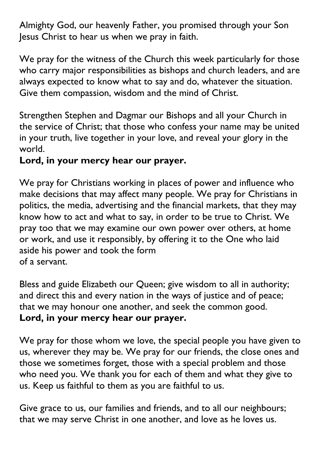Almighty God, our heavenly Father, you promised through your Son Jesus Christ to hear us when we pray in faith.

We pray for the witness of the Church this week particularly for those who carry major responsibilities as bishops and church leaders, and are always expected to know what to say and do, whatever the situation. Give them compassion, wisdom and the mind of Christ.

Strengthen Stephen and Dagmar our Bishops and all your Church in the service of Christ; that those who confess your name may be united in your truth, live together in your love, and reveal your glory in the world.

### **Lord, in your mercy hear our prayer.**

We pray for Christians working in places of power and influence who make decisions that may affect many people. We pray for Christians in politics, the media, advertising and the financial markets, that they may know how to act and what to say, in order to be true to Christ. We pray too that we may examine our own power over others, at home or work, and use it responsibly, by offering it to the One who laid aside his power and took the form of a servant.

Bless and guide Elizabeth our Queen; give wisdom to all in authority; and direct this and every nation in the ways of justice and of peace; that we may honour one another, and seek the common good. **Lord, in your mercy hear our prayer.**

We pray for those whom we love, the special people you have given to us, wherever they may be. We pray for our friends, the close ones and those we sometimes forget, those with a special problem and those who need you. We thank you for each of them and what they give to us. Keep us faithful to them as you are faithful to us.

Give grace to us, our families and friends, and to all our neighbours; that we may serve Christ in one another, and love as he loves us.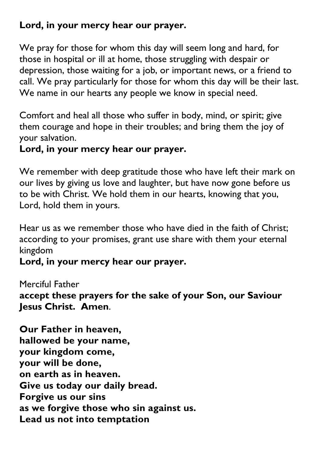# **Lord, in your mercy hear our prayer.**

We pray for those for whom this day will seem long and hard, for those in hospital or ill at home, those struggling with despair or depression, those waiting for a job, or important news, or a friend to call. We pray particularly for those for whom this day will be their last. We name in our hearts any people we know in special need.

Comfort and heal all those who suffer in body, mind, or spirit; give them courage and hope in their troubles; and bring them the joy of your salvation.

## **Lord, in your mercy hear our prayer.**

We remember with deep gratitude those who have left their mark on our lives by giving us love and laughter, but have now gone before us to be with Christ. We hold them in our hearts, knowing that you, Lord, hold them in yours.

Hear us as we remember those who have died in the faith of Christ; according to your promises, grant use share with them your eternal kingdom

## **Lord, in your mercy hear our prayer.**

Merciful Father

**accept these prayers for the sake of your Son, our Saviour Jesus Christ. Amen**.

**Our Father in heaven, hallowed be your name, your kingdom come, your will be done, on earth as in heaven. Give us today our daily bread. Forgive us our sins as we forgive those who sin against us. Lead us not into temptation**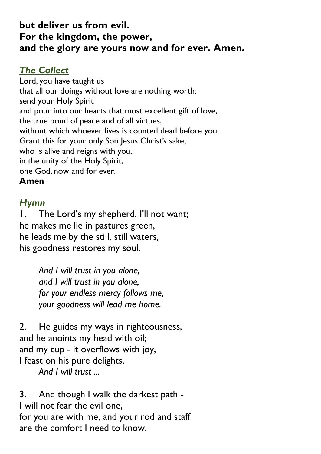## **but deliver us from evil. For the kingdom, the power, and the glory are yours now and for ever. Amen.**

## *The Collect*

Lord, you have taught us that all our doings without love are nothing worth: send your Holy Spirit and pour into our hearts that most excellent gift of love, the true bond of peace and of all virtues, without which whoever lives is counted dead before you. Grant this for your only Son Jesus Christ's sake, who is alive and reigns with you, in the unity of the Holy Spirit, one God, now and for ever. **Amen**

## *Hymn*

1. The Lord's my shepherd, I'll not want; he makes me lie in pastures green, he leads me by the still, still waters, his goodness restores my soul.

> *And I will trust in you alone, and I will trust in you alone, for your endless mercy follows me, your goodness will lead me home.*

2. He guides my ways in righteousness, and he anoints my head with oil; and my cup - it overflows with joy, I feast on his pure delights.

*And I will trust ...*

3. And though I walk the darkest path - I will not fear the evil one, for you are with me, and your rod and staff are the comfort I need to know.